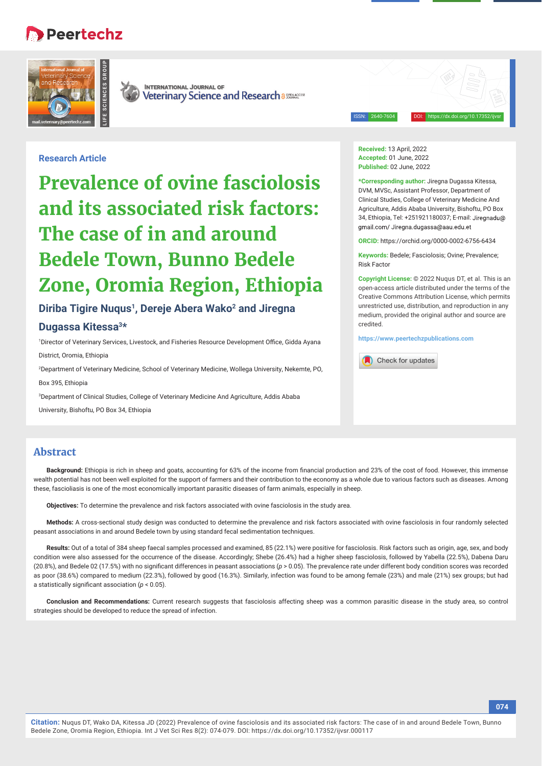# **Peertechz**





**INTERNATIONAL JOURNAL OF** Veterinary Science and Research a SREAGGES

ISSN: 2640-7604 DOI: https://dx.doi.org/10.17352/ijvsr

# **Research Article**

**Prevalence of ovine fasciolosis and its associated risk factors: The case of in and around Bedele Town, Bunno Bedele Zone, Oromia Region, Ethiopia**

# Diriba Tigire Nugus<sup>1</sup>, Dereje Abera Wako<sup>2</sup> and Jiregna

# **Dugassa Kitessa3\***

1Director of Veterinary Services, Livestock, and Fisheries Resource Development Office, Gidda Ayana District, Oromia, Ethiopia

2 Department of Veterinary Medicine, School of Veterinary Medicine, Wollega University, Nekemte, PO, Box 395, Ethiopia

3 Department of Clinical Studies, College of Veterinary Medicine And Agriculture, Addis Ababa

University, Bishoftu, PO Box 34, Ethiopia

**Received:** 13 April, 2022 **Accepted:** 01 June, 2022 **Published:** 02 June, 2022

**\*Corresponding author:** Jiregna Dugassa Kitessa, DVM, MVSc, Assistant Professor, Department of Clinical Studies, College of Veterinary Medicine And Agriculture, Addis Ababa University, Bishoftu, PO Box 34, Ethiopia, Tel: +251921180037; E-mail: gmail.com/Jiregna.dugassa@aau.edu.et

**ORCID:** https://orchid.org/0000-0002-6756-6434

**Keywords:** Bedele; Fasciolosis; Ovine; Prevalence; Risk Factor

**Copyright License:** © 2022 Nuqus DT, et al. This is an open-access article distributed under the terms of the Creative Commons Attribution License, which permits unrestricted use, distribution, and reproduction in any medium, provided the original author and source are credited.

**https://www.peertechzpublications.com**



# **Abstract**

Background: Ethiopia is rich in sheep and goats, accounting for 63% of the income from financial production and 23% of the cost of food. However, this immense wealth potential has not been well exploited for the support of farmers and their contribution to the economy as a whole due to various factors such as diseases. Among these, fascioliasis is one of the most economically important parasitic diseases of farm animals, especially in sheep.

**Objectives:** To determine the prevalence and risk factors associated with ovine fasciolosis in the study area.

**Methods:** A cross-sectional study design was conducted to determine the prevalence and risk factors associated with ovine fasciolosis in four randomly selected peasant associations in and around Bedele town by using standard fecal sedimentation techniques.

**Results:** Out of a total of 384 sheep faecal samples processed and examined, 85 (22.1%) were positive for fasciolosis. Risk factors such as origin, age, sex, and body condition were also assessed for the occurrence of the disease. Accordingly; Shebe (26.4%) had a higher sheep fasciolosis, followed by Yabella (22.5%), Dabena Daru (20.8%), and Bedele 02 (17.5%) with no significant differences in peasant associations ( $p > 0.05$ ). The prevalence rate under different body condition scores was recorded as poor (38.6%) compared to medium (22.3%), followed by good (16.3%). Similarly, infection was found to be among female (23%) and male (21%) sex groups; but had a statistically significant association ( $p < 0.05$ ).

**Conclusion and Recommendations:** Current research suggests that fasciolosis affecting sheep was a common parasitic disease in the study area, so control strategies should be developed to reduce the spread of infection.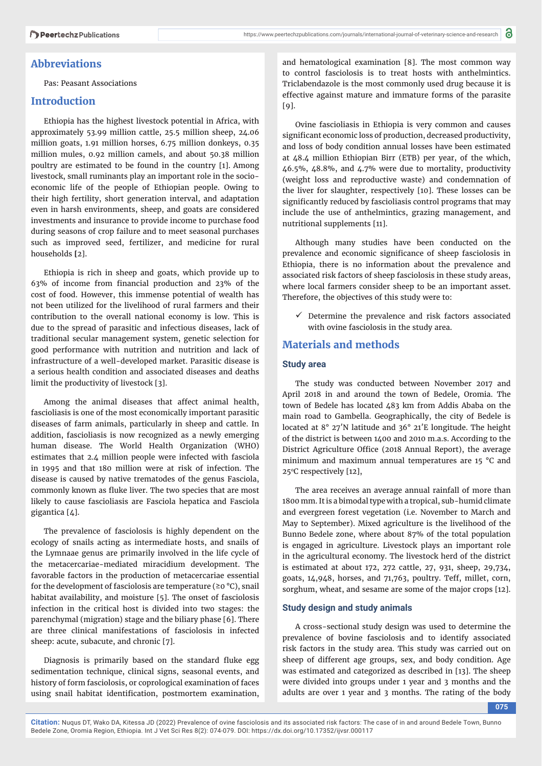# **Abbreviations**

Pas: Peasant Associations

# **Introduction**

Ethiopia has the highest livestock potential in Africa, with approximately 53.99 million cattle, 25.5 million sheep, 24.06 million goats, 1.91 million horses, 6.75 million donkeys, 0.35 million mules, 0.92 million camels, and about 50.38 million poultry are estimated to be found in the country [1]. Among livestock, small ruminants play an important role in the socioeconomic life of the people of Ethiopian people. Owing to their high fertility, short generation interval, and adaptation even in harsh environments, sheep, and goats are considered investments and insurance to provide income to purchase food during seasons of crop failure and to meet seasonal purchases such as improved seed, fertilizer, and medicine for rural households **[**2].

Ethiopia is rich in sheep and goats, which provide up to 63% of income from financial production and 23% of the cost of food. However, this immense potential of wealth has not been utilized for the livelihood of rural farmers and their contribution to the overall national economy is low. This is due to the spread of parasitic and infectious diseases, lack of traditional secular management system, genetic selection for good performance with nutrition and nutrition and lack of infrastructure of a well-developed market. Parasitic disease is a serious health condition and associated diseases and deaths limit the productivity of livestock [3].

Among the animal diseases that affect animal health, fascioliasis is one of the most economically important parasitic diseases of farm animals, particularly in sheep and cattle. In addition, fascioliasis is now recognized as a newly emerging human disease. The World Health Organization (WHO) estimates that 2.4 million people were infected with fasciola in 1995 and that 180 million were at risk of infection. The disease is caused by native trematodes of the genus Fasciola, commonly known as fluke liver. The two species that are most likely to cause fascioliasis are Fasciola hepatica and Fasciola gigantica [4].

The prevalence of fasciolosis is highly dependent on the ecology of snails acting as intermediate hosts, and snails of the Lymnaae genus are primarily involved in the life cycle of the metacercariae-mediated miracidium development. The favorable factors in the production of metacercariae essential for the development of fasciolosis are temperature ( $\geq 0$  °C), snail habitat availability, and moisture [5]. The onset of fasciolosis infection in the critical host is divided into two stages: the parenchymal (migration) stage and the biliary phase [6]. There are three clinical manifestations of fasciolosis in infected sheep: acute, subacute, and chronic [7].

Diagnosis is primarily based on the standard fluke egg sedimentation technique, clinical signs, seasonal events, and history of form fasciolosis, or coprological examination of faces using snail habitat identification, postmortem examination,

and hematological examination [8]. The most common way to control fasciolosis is to treat hosts with anthelmintics. Triclabendazole is the most commonly used drug because it is effective against mature and immature forms of the parasite  $[9]$ .

Ovine fascioliasis in Ethiopia is very common and causes significant economic loss of production, decreased productivity, and loss of body condition annual losses have been estimated at 48.4 million Ethiopian Birr (ETB) per year, of the which,  $46.5\%$ ,  $48.8\%$ , and  $4.7\%$  were due to mortality, productivity (weight loss and reproductive waste) and condemnation of the liver for slaughter, respectively [10]. These losses can be significantly reduced by fascioliasis control programs that may include the use of anthelmintics, grazing management, and nutritional supplements [11].

Although many studies have been conducted on the prevalence and economic significance of sheep fasciolosis in Ethiopia, there is no information about the prevalence and associated risk factors of sheep fasciolosis in these study areas, where local farmers consider sheep to be an important asset. Therefore, the objectives of this study were to:

 $\checkmark$  Determine the prevalence and risk factors associated with ovine fasciolosis in the study area.

# **Materials and methods**

## **Study area**

The study was conducted between November 2017 and April 2018 in and around the town of Bedele, Oromia. The town of Bedele has located 483 km from Addis Ababa on the main road to Gambella. Geographically, the city of Bedele is located at 8° 27′N latitude and 36° 21′E longitude. The height of the district is between 1400 and 2010 m.a.s. According to the District Agriculture Office (2018 Annual Report), the average minimum and maximum annual temperatures are 15 °C and 25°C respectively [12],

The area receives an average annual rainfall of more than 1800 mm. It is a bimodal type with a tropical, sub-humid climate and evergreen forest vegetation (i.e. November to March and May to September). Mixed agriculture is the livelihood of the Bunno Bedele zone, where about 87% of the total population is engaged in agriculture. Livestock plays an important role in the agricultural economy. The livestock herd of the district is estimated at about 172, 272 cattle, 27, 931, sheep, 29,734, goats, 14,948, horses, and 71,763, poultry. Teff, millet, corn, sorghum, wheat, and sesame are some of the major crops [12].

## **Study design and study animals**

A cross-sectional study design was used to determine the prevalence of bovine fasciolosis and to identify associated risk factors in the study area. This study was carried out on sheep of different age groups, sex, and body condition. Age was estimated and categorized as described in [13]. The sheep were divided into groups under 1 year and 3 months and the adults are over 1 year and 3 months. The rating of the body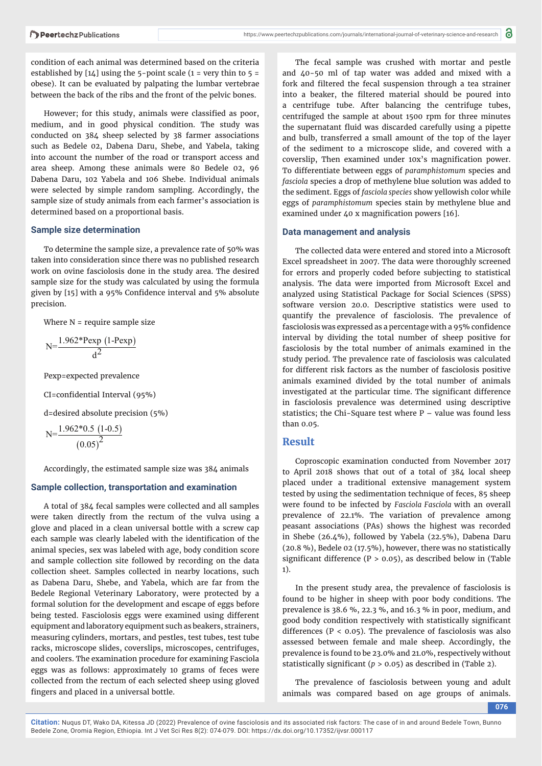condition of each animal was determined based on the criteria established by  $[14]$  using the 5-point scale (1 = very thin to 5 = obese). It can be evaluated by palpating the lumbar vertebrae between the back of the ribs and the front of the pelvic bones.

However; for this study, animals were classified as poor, medium, and in good physical condition. The study was conducted on 384 sheep selected by 38 farmer associations such as Bedele 02, Dabena Daru, Shebe, and Yabela, taking into account the number of the road or transport access and area sheep. Among these animals were 80 Bedele 02, 96 Dabena Daru, 102 Yabela and 106 Shebe. Individual animals were selected by simple random sampling. Accordingly, the sample size of study animals from each farmer's association is determined based on a proportional basis.

#### **Sample size determination**

To determine the sample size, a prevalence rate of 50% was taken into consideration since there was no published research work on ovine fasciolosis done in the study area. The desired sample size for the study was calculated by using the formula given by [15] with a 95% Confidence interval and 5% absolute precision.

Where  $N =$  require sample size

$$
N = \frac{1.962*Pexp(1-Pexp)}{d^2}
$$

Pexp=expected prevalence

```
CI=confidential Interval (95%)
```
d=desired absolute precision (5%)

$$
N = \frac{1.962 \times 0.5 (1 - 0.5)}{(0.05)^2}
$$

Accordingly, the estimated sample size was 384 animals

#### **Sample collection, transportation and examination**

A total of 384 fecal samples were collected and all samples were taken directly from the rectum of the vulva using a glove and placed in a clean universal bottle with a screw cap each sample was clearly labeled with the identification of the animal species, sex was labeled with age, body condition score and sample collection site followed by recording on the data collection sheet. Samples collected in nearby locations, such as Dabena Daru, Shebe, and Yabela, which are far from the Bedele Regional Veterinary Laboratory, were protected by a formal solution for the development and escape of eggs before being tested. Fasciolosis eggs were examined using different equipment and laboratory equipment such as beakers, strainers, measuring cylinders, mortars, and pestles, test tubes, test tube racks, microscope slides, coverslips, microscopes, centrifuges, and coolers. The examination procedure for examining Fasciola eggs was as follows: approximately 10 grams of feces were collected from the rectum of each selected sheep using gloved fingers and placed in a universal bottle.

The fecal sample was crushed with mortar and pestle and 40-50 ml of tap water was added and mixed with a fork and filtered the fecal suspension through a tea strainer into a beaker, the filtered material should be poured into a centrifuge tube. After balancing the centrifuge tubes, centrifuged the sample at about 1500 rpm for three minutes the supernatant fluid was discarded carefully using a pipette and bulb, transferred a small amount of the top of the layer of the sediment to a microscope slide, and covered with a coverslip, Then examined under 10x's magnification power. To differentiate between eggs of *paramphistomum* species and *fasciola* species a drop of methylene blue solution was added to the sediment. Eggs of *fasciola species* show yellowish color while eggs of *paramphistomum* species stain by methylene blue and examined under 40 x magnification powers [16].

#### **Data management and analysis**

The collected data were entered and stored into a Microsoft Excel spreadsheet in 2007. The data were thoroughly screened for errors and properly coded before subjecting to statistical analysis. The data were imported from Microsoft Excel and analyzed using Statistical Package for Social Sciences (SPSS) software version 20.0. Descriptive statistics were used to quantify the prevalence of fasciolosis. The prevalence of fasciolosis was expressed as a percentage with a 95% confidence interval by dividing the total number of sheep positive for fasciolosis by the total number of animals examined in the study period. The prevalence rate of fasciolosis was calculated for different risk factors as the number of fasciolosis positive animals examined divided by the total number of animals investigated at the particular time. The significant difference in fasciolosis prevalence was determined using descriptive statistics; the Chi-Square test where P – value was found less than 0.05.

## **Result**

Coproscopic examination conducted from November 2017 to April 2018 shows that out of a total of 384 local sheep placed under a traditional extensive management system tested by using the sedimentation technique of feces, 85 sheep were found to be infected by *Fasciola Fasciola* with an overall prevalence of 22.1%. The variation of prevalence among peasant associations (PAs) shows the highest was recorded in Shebe (26.4%), followed by Yabela (22.5%), Dabena Daru (20.8 %), Bedele 02 (17.5%), however, there was no statistically significant difference ( $P > 0.05$ ), as described below in (Table 1).

In the present study area, the prevalence of fasciolosis is found to be higher in sheep with poor body conditions. The prevalence is 38.6 %, 22.3 %, and 16.3 % in poor, medium, and good body condition respectively with statistically significant differences ( $P < 0.05$ ). The prevalence of fasciolosis was also assessed between female and male sheep. Accordingly, the prevalence is found to be 23.0% and 21.0%, respectively without statistically significant ( $p > 0.05$ ) as described in (Table 2).

The prevalence of fasciolosis between young and adult animals was compared based on age groups of animals.

**076**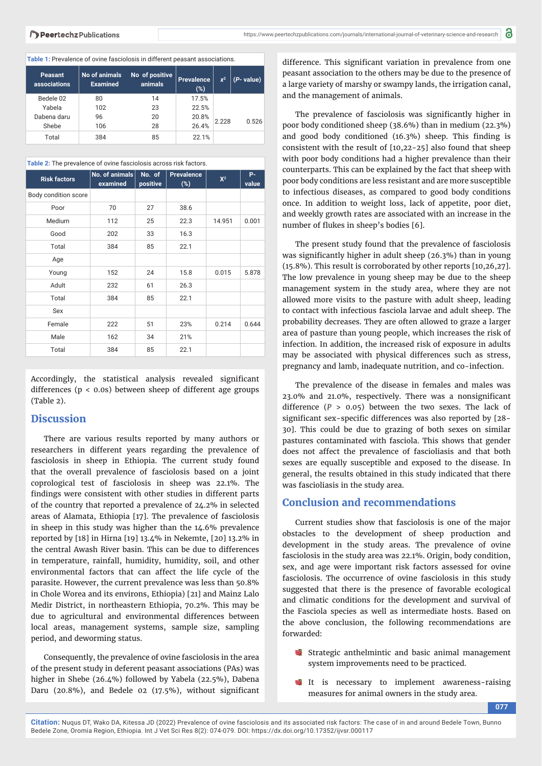#### **Table 1:** Prevalence of ovine fasciolosis in different peasant associations.

| <b>Peasant</b><br>associations | No of animals<br><b>Examined</b> | No of positive<br>animals | Prevalence<br>(%) | $x^2$ | (P- value) |
|--------------------------------|----------------------------------|---------------------------|-------------------|-------|------------|
| Bedele 02                      | 80                               | 14                        | 17.5%             |       |            |
| Yabela                         | 102                              | 23                        | 22.5%             |       |            |
| Dabena daru                    | 96                               | 20                        | 20.8%             | 2.228 | 0.526      |
| Shebe                          | 106                              | 28                        | 26.4%             |       |            |
| Total                          | 384                              | 85                        | 22.1%             |       |            |

**Table 2:** The prevalence of ovine fasciolosis across risk factors.

| <b>Risk factors</b>  | No. of animals<br>examined | No. of<br>positive | <b>Prevalence</b><br>$(\%)$ | $X^2$  | <b>P-</b><br>value |
|----------------------|----------------------------|--------------------|-----------------------------|--------|--------------------|
| Body condition score |                            |                    |                             |        |                    |
| Poor                 | 70                         | 27                 | 38.6                        |        |                    |
| Medium               | 112                        | 25                 | 22.3                        | 14.951 | 0.001              |
| Good                 | 202                        | 33                 | 16.3                        |        |                    |
| Total                | 384                        | 85                 | 22.1                        |        |                    |
| Age                  |                            |                    |                             |        |                    |
| Young                | 152                        | 24                 | 15.8                        | 0.015  | 5.878              |
| Adult                | 232                        | 61                 | 26.3                        |        |                    |
| Total                | 384                        | 85                 | 22.1                        |        |                    |
| Sex                  |                            |                    |                             |        |                    |
| Female               | 222                        | 51                 | 23%                         | 0.214  | 0.644              |
| Male                 | 162                        | 34                 | 21%                         |        |                    |
| Total                | 384                        | 85                 | 22.1                        |        |                    |

Accordingly, the statistical analysis revealed significant differences (p < 0.0s) between sheep of different age groups (Table 2).

## **Discussion**

There are various results reported by many authors or researchers in different years regarding the prevalence of fasciolosis in sheep in Ethiopia. The current study found that the overall prevalence of fasciolosis based on a joint coprological test of fasciolosis in sheep was 22.1%. The findings were consistent with other studies in different parts of the country that reported a prevalence of 24.2% in selected areas of Alamata, Ethiopia [17]. The prevalence of fasciolosis in sheep in this study was higher than the 14.6% prevalence reported by [18] in Hirna [19] 13.4% in Nekemte, [20] 13.2% in the central Awash River basin. This can be due to differences in temperature, rainfall, humidity, humidity, soil, and other environmental factors that can affect the life cycle of the parasite. However, the current prevalence was less than 50.8% in Chole Worea and its environs, Ethiopia) [21] and Mainz Lalo Medir District, in northeastern Ethiopia, 70.2%. This may be due to agricultural and environmental differences between local areas, management systems, sample size, sampling period, and deworming status.

Consequently, the prevalence of ovine fasciolosis in the area of the present study in deferent peasant associations (PAs) was higher in Shebe (26.4%) followed by Yabela (22.5%), Dabena Daru (20.8%), and Bedele 02 (17.5%), without significant

difference. This significant variation in prevalence from one peasant association to the others may be due to the presence of a large variety of marshy or swampy lands, the irrigation canal, and the management of animals.

The prevalence of fasciolosis was significantly higher in poor body conditioned sheep (38.6%) than in medium (22.3%) and good body conditioned  $(16.3%)$  sheep. This finding is consistent with the result of [10,22-25] also found that sheep with poor body conditions had a higher prevalence than their counterparts. This can be explained by the fact that sheep with poor body conditions are less resistant and are more susceptible to infectious diseases, as compared to good body conditions once. In addition to weight loss, lack of appetite, poor diet, and weekly growth rates are associated with an increase in the number of flukes in sheep's bodies [6].

The present study found that the prevalence of fasciolosis was significantly higher in adult sheep  $(26.3%)$  than in young (15.8%). This result is corroborated by other reports [10,26,27]. The low prevalence in young sheep may be due to the sheep management system in the study area, where they are not allowed more visits to the pasture with adult sheep, leading to contact with infectious fasciola larvae and adult sheep. The probability decreases. They are often allowed to graze a larger area of pasture than young people, which increases the risk of infection. In addition, the increased risk of exposure in adults may be associated with physical differences such as stress, pregnancy and lamb, inadequate nutrition, and co-infection.

The prevalence of the disease in females and males was  $23.0\%$  and  $21.0\%$ , respectively. There was a nonsignificant difference (*P* > 0.05) between the two sexes. The lack of significant sex-specific differences was also reported by [28-30]. This could be due to grazing of both sexes on similar pastures contaminated with fasciola. This shows that gender does not affect the prevalence of fascioliasis and that both sexes are equally susceptible and exposed to the disease. In general, the results obtained in this study indicated that there was fascioliasis in the study area.

## **Conclusion and recommendations**

Current studies show that fasciolosis is one of the major obstacles to the development of sheep production and development in the study areas. The prevalence of ovine fasciolosis in the study area was 22.1%. Origin, body condition, sex, and age were important risk factors assessed for ovine fasciolosis. The occurrence of ovine fasciolosis in this study suggested that there is the presence of favorable ecological and climatic conditions for the development and survival of the Fasciola species as well as intermediate hosts. Based on the above conclusion, the following recommendations are forwarded:

- Strategic anthelmintic and basic animal management system improvements need to be practiced.
- It is necessary to implement awareness-raising measures for animal owners in the study area.

**077**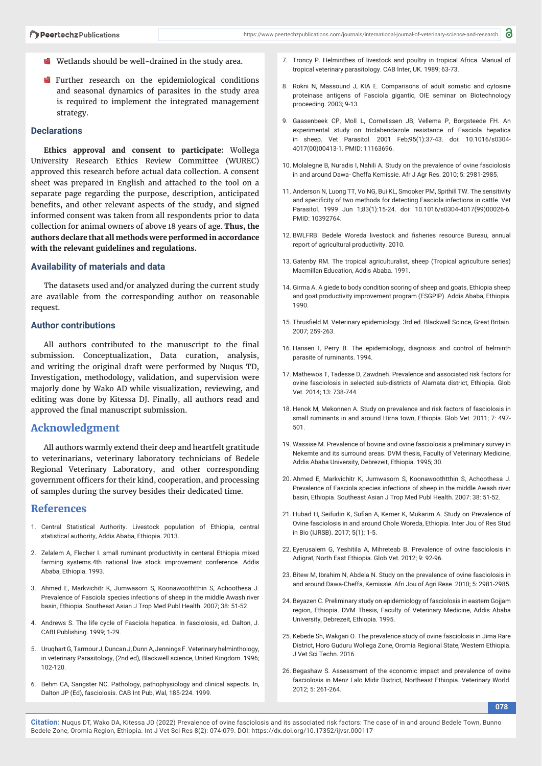- Wetlands should be well-drained in the study area.
- **Further research on the epidemiological conditions** and seasonal dynamics of parasites in the study area is required to implement the integrated management strategy.

## **Declarations**

**Ethics approval and consent to participate:** Wollega University Research Ethics Review Committee (WUREC) approved this research before actual data collection. A consent sheet was prepared in English and attached to the tool on a separate page regarding the purpose, description, anticipated benefits, and other relevant aspects of the study, and signed informed consent was taken from all respondents prior to data collection for animal owners of above 18 years of age. **Thus, the authors declare that all methods were performed in accordance with the relevant guidelines and regulations.**

#### **Availability of materials and data**

The datasets used and/or analyzed during the current study are available from the corresponding author on reasonable request.

#### **Author contributions**

All authors contributed to the manuscript to the final submission. Conceptualization, Data curation, analysis, and writing the original draft were performed by Nuqus TD, Investigation, methodology, validation, and supervision were majorly done by Wako AD while visualization, reviewing, and editing was done by Kitessa DJ. Finally, all authors read and approved the final manuscript submission.

## **Acknowledgment**

All authors warmly extend their deep and heartfelt gratitude to veterinarians, veterinary laboratory technicians of Bedele Regional Veterinary Laboratory, and other corresponding government officers for their kind, cooperation, and processing of samples during the survey besides their dedicated time.

### **References**

- 1. Central Statistical Authority. Livestock population of Ethiopia, central statistical authority, Addis Ababa, Ethiopia. 2013.
- 2. Zelalem A, Flecher I. small ruminant productivity in centeral Ethiopia mixed farming systems.4th national live stock improvement conference. Addis Ababa, Ethiopia. 1993.
- 3. Ahmed E, Markvichitr K, Jumwasorn S, Koonawoothtthin S, Achoothesa J. Prevalence of Fasciola species infections of sheep in the middle Awash river basin, Ethiopia. Southeast Asian J Trop Med Publ Health. 2007; 38: 51-52.
- 4. Andrews S. The life cycle of Fasciola hepatica. In fasciolosis, ed. Dalton, J. CABI Publishing. 1999; 1-29.
- 5. Uruqhart G, Tarmour J, Duncan J, Dunn A, Jennings F. Veterinary helminthology, in veterinary Parasitology, (2nd ed), Blackwell science, United Kingdom. 1996; 102-120.
- 6. Behm CA, Sangster NC. Pathology, pathophysiology and clinical aspects. In, Dalton JP (Ed), fasciolosis. CAB Int Pub, Wal, 185-224. 1999.
- 7. Troncy P. Helminthes of livestock and poultry in tropical Africa. Manual of tropical veterinary parasitology. CAB Inter, UK. 1989; 63-73.
- 8. Rokni N, Massound J, KIA E. Comparisons of adult somatic and cytosine proteinase antigens of Fasciola gigantic, OIE seminar on Biotechnology proceeding. 2003; 9-13.
- 9. Gaasenbeek CP, Moll L, Cornelissen JB, Vellema P, Borgsteede FH. An experimental study on triclabendazole resistance of Fasciola hepatica in sheep. Vet Parasitol. 2001 Feb;95(1):37-43. doi: 10.1016/s0304- 4017(00)00413-1. PMID: 11163696.
- 10. Molalegne B, Nuradis I, Nahili A. Study on the prevalence of ovine fasciolosis in and around Dawa- Cheffa Kemissie. Afr J Agr Res. 2010; 5: 2981-2985.
- 11. Anderson N, Luong TT, Vo NG, Bui KL, Smooker PM, Spithill TW. The sensitivity and specificity of two methods for detecting Fasciola infections in cattle. Vet Parasitol. 1999 Jun 1;83(1):15-24. doi: 10.1016/s0304-4017(99)00026-6. PMID: 10392764.
- 12. BWLFRB. Bedele Woreda livestock and fisheries resource Bureau, annual report of agricultural productivity. 2010.
- 13. Gatenby RM. The tropical agriculturalist, sheep (Tropical agriculture series) Macmillan Education, Addis Ababa. 1991.
- 14. Girma A. A giede to body condition scoring of sheep and goats, Ethiopia sheep and goat productivity improvement program (ESGPIP). Addis Ababa, Ethiopia. 1990.
- 15. Thrusfield M. Veterinary epidemiology. 3rd ed. Blackwell Scince, Great Britain. 2007; 259-263.
- 16. Hansen I, Perry B. The epidemiology, diagnosis and control of helrninth parasite of rurninants. 1994.
- 17. Mathewos T, Tadesse D, Zawdneh. Prevalence and associated risk factors for ovine fasciolosis in selected sub-districts of Alamata district, Ethiopia. Glob Vet. 2014; 13: 738-744.
- 18. Henok M, Mekonnen A. Study on prevalence and risk factors of fasciolosis in small ruminants in and around Hirna town, Ethiopia. Glob Vet. 2011; 7: 497- 501.
- 19. Wassise M. Prevalence of bovine and ovine fasciolosis a preliminary survey in Nekemte and its surround areas. DVM thesis, Faculty of Veterinary Medicine, Addis Ababa University, Debrezeit, Ethiopia. 1995; 30.
- 20. Ahmed E, Markvichitr K, Jumwasorn S, Koonawoothtthin S, Achoothesa J. Prevalence of Fasciola species infections of sheep in the middle Awash river basin, Ethiopia. Southeast Asian J Trop Med Publ Health. 2007: 38: 51-52.
- 21. Hubad H, Seifudin K, Sufian A, Kemer K, Mukarim A, Study on Prevalence of Ovine fasciolosis in and around Chole Woreda, Ethiopia. Inter Jou of Res Stud in Bio (IJRSB). 2017; 5(1): 1-5.
- 22. Eyerusalem G, Yeshitila A, Mihreteab B. Prevalence of ovine fasciolosis in Adigrat, North East Ethiopia. Glob Vet. 2012; 9: 92-96.
- 23. Bitew M, Ibrahim N, Abdela N. Study on the prevalence of ovine fasciolosis in and around Dawa-Cheffa, Kemissie. Afri Jou of Agri Rese. 2010; 5: 2981-2985.
- 24. Beyazen C. Preliminary study on epidemiology of fasciolosis in eastern Gojjam region, Ethiopia. DVM Thesis, Faculty of Veterinary Medicine, Addis Ababa University, Debrezeit, Ethiopia. 1995.
- 25. Kebede Sh, Wakgari O. The prevalence study of ovine fasciolosis in Jima Rare District, Horo Guduru Wollega Zone, Oromia Regional State, Western Ethiopia. J Vet Sci Techn. 2016.
- 26. Begashaw S. Assessment of the economic impact and prevalence of ovine fasciolosis in Menz Lalo Midir District, Northeast Ethiopia. Veterinary World. 2012; 5: 261-264.

**078**